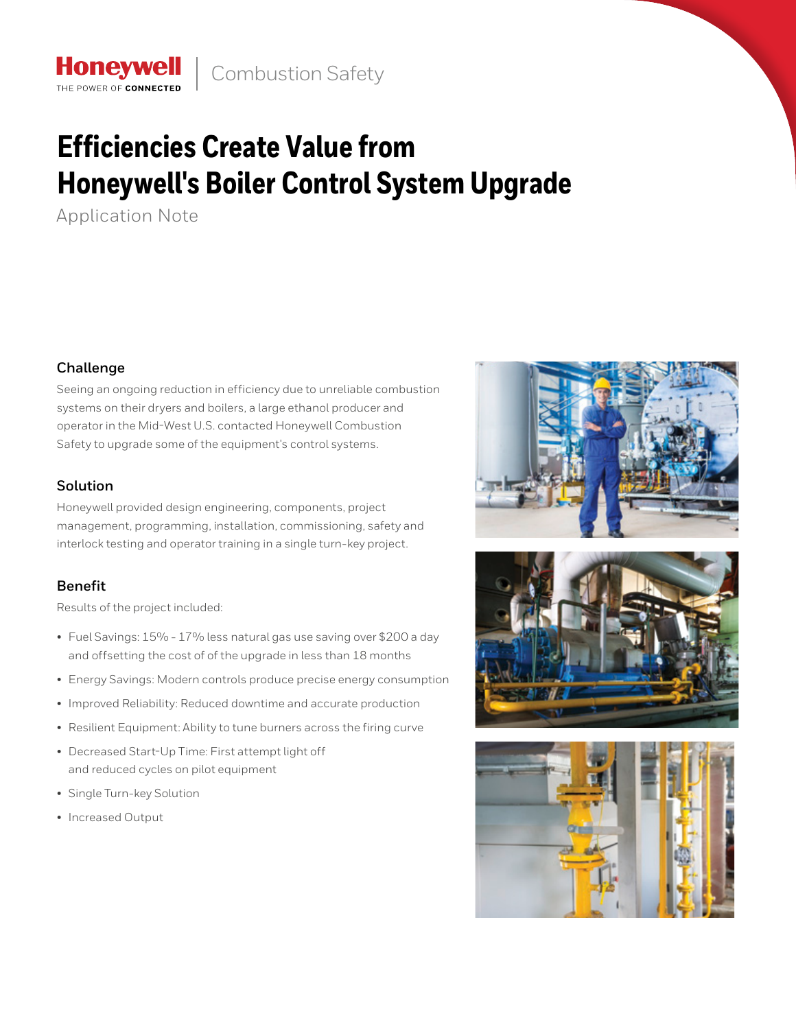# **Efficiencies Create Value from Honeywell's Boiler Control System Upgrade**

Application Note

## **Challenge**

Seeing an ongoing reduction in efficiency due to unreliable combustion systems on their dryers and boilers, a large ethanol producer and operator in the Mid-West U.S. contacted Honeywell Combustion Safety to upgrade some of the equipment's control systems.

## **Solution**

Honeywell provided design engineering, components, project management, programming, installation, commissioning, safety and interlock testing and operator training in a single turn-key project.

# **Benefit**

Results of the project included:

- Fuel Savings: 15% 17% less natural gas use saving over \$200 a day and offsetting the cost of of the upgrade in less than 18 months
- Energy Savings: Modern controls produce precise energy consumption
- Improved Reliability: Reduced downtime and accurate production
- Resilient Equipment: Ability to tune burners across the firing curve
- Decreased Start-Up Time: First attempt light off and reduced cycles on pilot equipment
- Single Turn-key Solution
- Increased Output